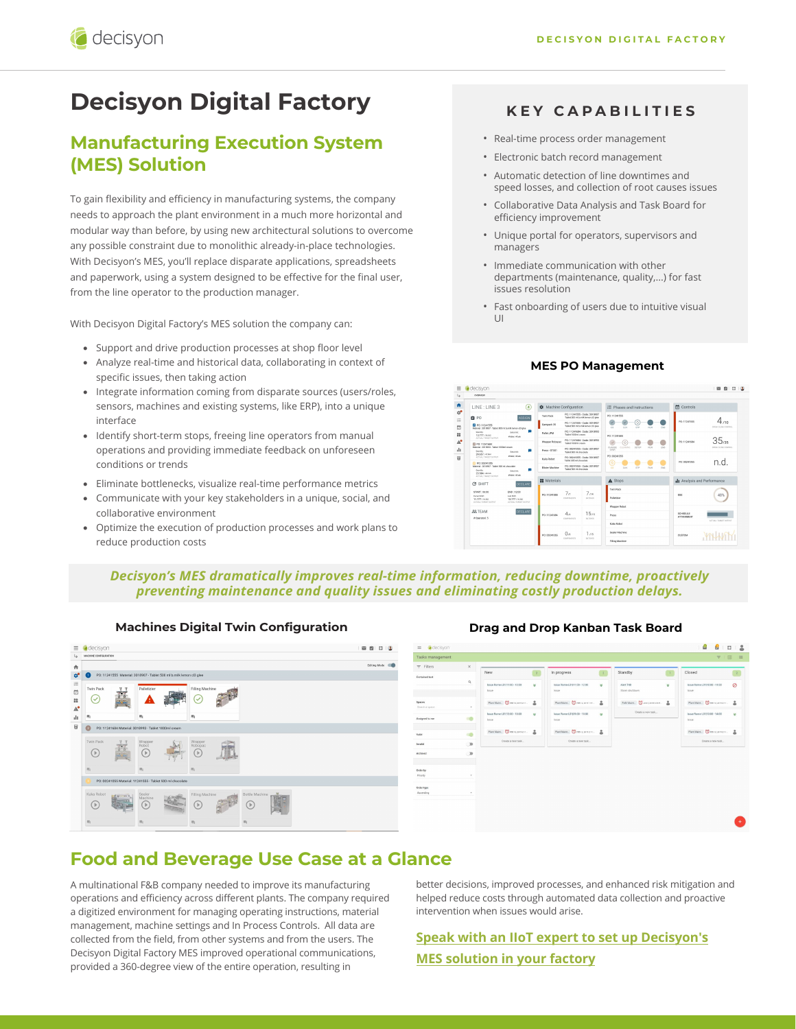# **Decisyon Digital Factory**

# **Manufacturing Execution System (MES) Solution**

To gain flexibility and efficiency in manufacturing systems, the company needs to approach the plant environment in a much more horizontal and modular way than before, by using new architectural solutions to overcome any possible constraint due to monolithic already-in-place technologies. With Decisyon's MES, you'll replace disparate applications, spreadsheets and paperwork, using a system designed to be effective for the final user, from the line operator to the production manager.

With Decisyon Digital Factory's MES solution the company can:

- Support and drive production processes at shop floor level
- Analyze real-time and historical data, collaborating in context of specific issues, then taking action
- Integrate information coming from disparate sources (users/roles, sensors, machines and existing systems, like ERP), into a unique interface
- Identify short-term stops, freeing line operators from manual operations and providing immediate feedback on unforeseen conditions or trends
- Eliminate bottlenecks, visualize real-time performance metrics
- Communicate with your key stakeholders in a unique, social, and collaborative environment
- Optimize the execution of production processes and work plans to reduce production costs

#### **KEY CAPABILITIES**

- Real-time process order management
- Electronic batch record management
- Automatic detection of line downtimes and speed losses, and collection of root causes issues
- Collaborative Data Analysis and Task Board for efficiency improvement
- Unique portal for operators, supervisors and managers
- Immediate communication with other departments (maintenance, quality,...) for fast issues resolution
- Fast onboarding of users due to intuitive visual UI

#### **MES PO Management**



#### *Decisyon's MES dramatically improves real-time information, reducing downtime, proactively preventing maintenance and quality issues and eliminating costly production delays.*

**Machines Digital Twin Configuration Drag and Drop Kanban Task Board** 





## **Food and Beverage Use Case at a Glance**

A multinational F&B company needed to improve its manufacturing operations and efficiency across different plants. The company required a digitized environment for managing operating instructions, material management, machine settings and In Process Controls. All data are collected from the field, from other systems and from the users. The Decisyon Digital Factory MES improved operational communications, provided a 360-degree view of the entire operation, resulting in

better decisions, improved processes, and enhanced risk mitigation and helped reduce costs through automated data collection and proactive intervention when issues would arise.

### **[Speak with an IIoT expert to set up Decisyon's](https://decisyon.com/contact-us) MES solution in your factory**